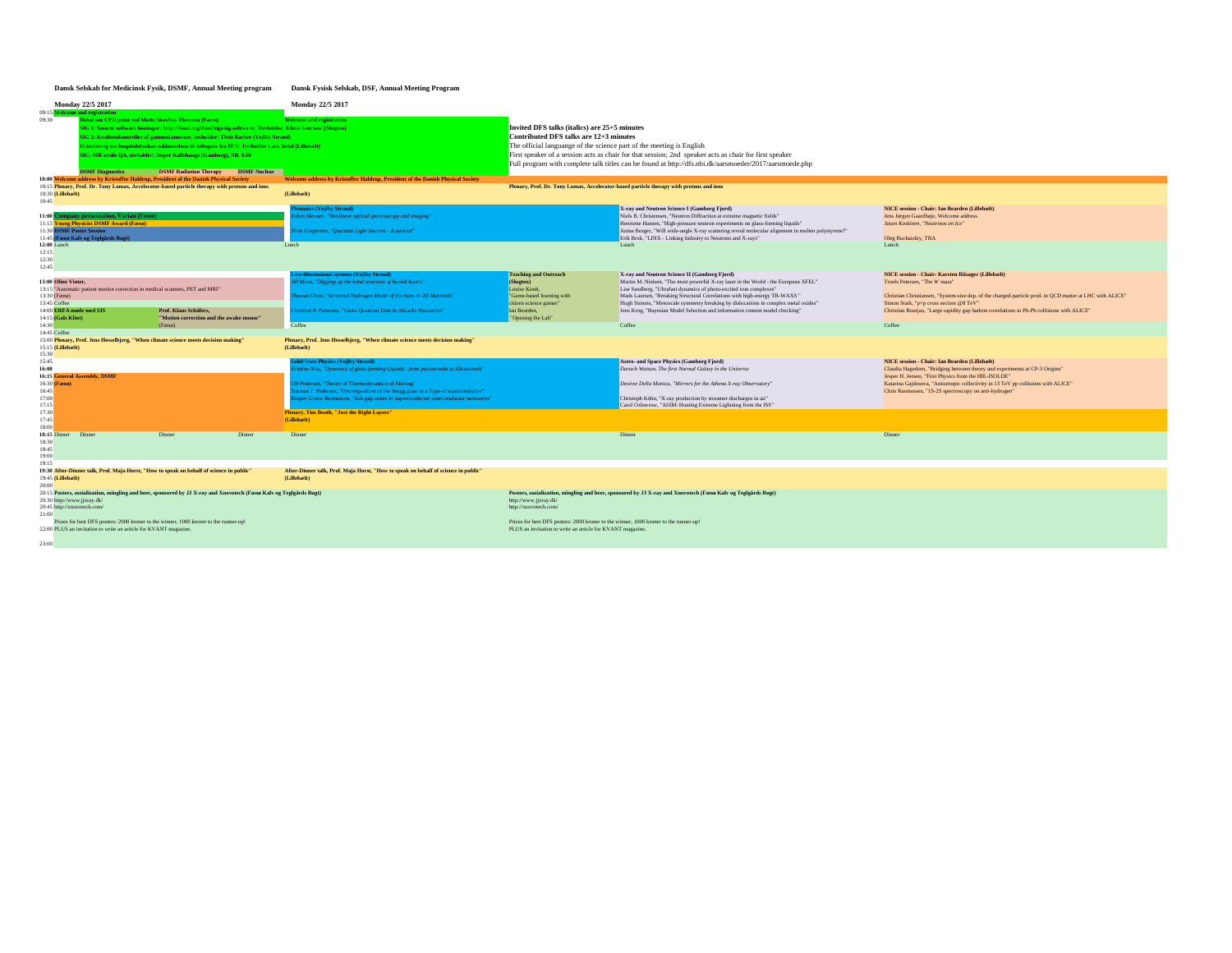## **Dansk Selskab for Medicinsk Fysik, DSMF, Annual Meeting program Dansk Fysisk Selskab, DSF, Annual Meeting Program**

| <b>Monday 22/5 2017</b>                                                                                                                                                                                                                                                                                                                                                                                                                                                                                            |                                                                                                                             |                                                                                                                                                                                                             | Monday 22/5 2017                                                                                                                                                                                                                                                                                                                                                                                                 |                                                                                                                                                                                                                                                                                                                                                                                    |                                                                                                                                                                                                                                                                                                                                                                                       |                                                                                                                                                                                                                                                                                                                                      |  |
|--------------------------------------------------------------------------------------------------------------------------------------------------------------------------------------------------------------------------------------------------------------------------------------------------------------------------------------------------------------------------------------------------------------------------------------------------------------------------------------------------------------------|-----------------------------------------------------------------------------------------------------------------------------|-------------------------------------------------------------------------------------------------------------------------------------------------------------------------------------------------------------|------------------------------------------------------------------------------------------------------------------------------------------------------------------------------------------------------------------------------------------------------------------------------------------------------------------------------------------------------------------------------------------------------------------|------------------------------------------------------------------------------------------------------------------------------------------------------------------------------------------------------------------------------------------------------------------------------------------------------------------------------------------------------------------------------------|---------------------------------------------------------------------------------------------------------------------------------------------------------------------------------------------------------------------------------------------------------------------------------------------------------------------------------------------------------------------------------------|--------------------------------------------------------------------------------------------------------------------------------------------------------------------------------------------------------------------------------------------------------------------------------------------------------------------------------------|--|
| 09:15 Welcome and registration<br>09:30<br>Debat om CPD point ved Mette Skovhus Thomsen (Fænø)<br>SIG 1: Smarte software løsninger: http://dsmf.org/dsmf/sigs/sig-software/, Tovholder: Klaus Seiersen ((Slugten)<br>SIG 2: Kvalitetskontroller af gammakameraer, tovholder: Theis Bacher (Vejlby Strand)<br>Orientering om hospitalsfysiker-uddannelsen til deltagere fra DFS: Toyholder Lars Jødal (Lillebælt)<br>SIG: MR stråle QA, tovholder: Jesper Kallehauge (Gamborg), NB. 9.00<br><b>DSMF</b> Diagnostics |                                                                                                                             | <b>DSMF Radiation Therapy</b><br><b>DSMF</b> Nuclear                                                                                                                                                        | <b>Welcome and registration</b>                                                                                                                                                                                                                                                                                                                                                                                  | Invited DFS talks (italics) are 25+5 minutes<br>Contributed DFS talks are 12+3 minutes<br>The official languange of the science part of the meeting is English<br>First speaker of a session acts as chair for that session; 2nd speaker acts as chair for first speaker<br>Full program with complete talk titles can be found at http://dfs.nbi.dk/aarsmoeder/2017/aarsmoede.php |                                                                                                                                                                                                                                                                                                                                                                                       |                                                                                                                                                                                                                                                                                                                                      |  |
|                                                                                                                                                                                                                                                                                                                                                                                                                                                                                                                    |                                                                                                                             | 10:00 Welcome address by Kristoffer Haldrup, President of the Danish Physical Society                                                                                                                       | Welcome address by Kristoffer Haldrup, President of the Danish Physical Society                                                                                                                                                                                                                                                                                                                                  | Plenary, Prof. Dr. Tony Lomax, Accelerator-based particle therapy with protons and ions                                                                                                                                                                                                                                                                                            |                                                                                                                                                                                                                                                                                                                                                                                       |                                                                                                                                                                                                                                                                                                                                      |  |
| 10:15 Plenary, Prof. Dr. Tony Lomax, Accelerator-based particle therapy with protons and ions<br>10:30 (Lillebælt)<br>10:45                                                                                                                                                                                                                                                                                                                                                                                        |                                                                                                                             |                                                                                                                                                                                                             | (Lillebælt)                                                                                                                                                                                                                                                                                                                                                                                                      |                                                                                                                                                                                                                                                                                                                                                                                    |                                                                                                                                                                                                                                                                                                                                                                                       |                                                                                                                                                                                                                                                                                                                                      |  |
| 11:30 DSMF Poster Session<br>$12:00$ Lunch<br>12:15                                                                                                                                                                                                                                                                                                                                                                                                                                                                | 11:00 Company presentation, Varian (Fænø)<br>11:15 Young Physicist DSMF Award (Fænø)<br>11:45 (Fænø Kalv og Teglgårds Bugt) |                                                                                                                                                                                                             | hotonics (Vejlby Strand)<br>sben Skovsen, "Nonlinear optical spectroscopy and imaging"<br>liels Gregersen, "Quantum Light Sources - A tutorial"<br>Lunch                                                                                                                                                                                                                                                         |                                                                                                                                                                                                                                                                                                                                                                                    | X-ray and Neutron Science I (Gamborg Fjord)<br>Niels B. Christensen, "Neutron Diffraction at extreme magnetic fields"<br>Henriette Hansen, "High-pressure neutron experiments on glass-forming liquids"<br>Anine Borger, "Will wide-angle X-ray scattering reveal molecular alignment in molten polystyrene?"<br>Erik Brok, "LINX - Linking Industry to Neutrons and X-rays"<br>Lunch | NICE session - Chair: Ian Bearden (Lillebælt)<br>Jens Jørgen Gaardhøje, Welcome address<br>Jason Koskinen, "Neutrinos on Ice"<br>Oleg Ruchaiskiy, TBA<br>Lunch                                                                                                                                                                       |  |
| 12:30<br>12:45                                                                                                                                                                                                                                                                                                                                                                                                                                                                                                     |                                                                                                                             |                                                                                                                                                                                                             |                                                                                                                                                                                                                                                                                                                                                                                                                  |                                                                                                                                                                                                                                                                                                                                                                                    |                                                                                                                                                                                                                                                                                                                                                                                       |                                                                                                                                                                                                                                                                                                                                      |  |
| 13:00 Oline Vinter.<br>13:30 (Fænø)<br>13:45 Coffee                                                                                                                                                                                                                                                                                                                                                                                                                                                                | 13:15 "Automatic patient motion correction in medical scanners, PET and MRI"                                                |                                                                                                                                                                                                             | Low-dimensional systems (Veilby Strand)<br>"Ill Miwa, "Digging up the band structure of buried layers"<br>homas Olsen, "Screened Hydrogen Model of Excitons in 2D Materials"                                                                                                                                                                                                                                     | <b>Teaching and Outreach</b><br>(Slugten)<br>Louise Kindt.<br>"Game-based learning with<br>citizen science games'                                                                                                                                                                                                                                                                  | X-ray and Neutron Science II (Gamborg Fjord)<br>Martin M. Nielsen, "The most powerful X-ray laser in the World - the European XFEL"<br>Lise Sandberg, "Ultrafast dynamics of photo-excited iron complexes"<br>Mads Laursen, "Breaking Structural Correlations with high-energy TR-WAXS"<br>Hugh Simons, "Mesoscale symmetry breaking by dislocations in complex metal oxides"         | NICE session - Chair: Karsten Riisager (Lillebælt)<br>Troels Petersen. "The W mass"<br>Christian Christiansen, "System-size dep. of the charged-particle prod. in QCD matter at LHC with ALICE"<br>Simon Stark, "p+p cross section @8 TeV"                                                                                           |  |
| 14:00 ERFA møde med SIS<br>14:15 (Gals Klint)                                                                                                                                                                                                                                                                                                                                                                                                                                                                      |                                                                                                                             | Prof. Klaus Schäfers.<br>"Motion correction and the awake mouse"                                                                                                                                            | ristine P. Pedersen, "GaAs Quantum Dots in AlGaAs Nanowires"                                                                                                                                                                                                                                                                                                                                                     | Ian Bearden,<br>"Opening the Lab"                                                                                                                                                                                                                                                                                                                                                  | Jens Krog, "Bayesian Model Selection and information content model checking"                                                                                                                                                                                                                                                                                                          | Christian Bourjau, "Large rapidity gap hadron correlations in Pb-Pb collisions with ALICE"                                                                                                                                                                                                                                           |  |
| 14:30<br>14:45 Coffee                                                                                                                                                                                                                                                                                                                                                                                                                                                                                              |                                                                                                                             | (Fæn <sub>0</sub> )                                                                                                                                                                                         | Coffee                                                                                                                                                                                                                                                                                                                                                                                                           |                                                                                                                                                                                                                                                                                                                                                                                    | Coffee                                                                                                                                                                                                                                                                                                                                                                                | Coffee                                                                                                                                                                                                                                                                                                                               |  |
| 15:15 (Lillebælt)<br>15:30                                                                                                                                                                                                                                                                                                                                                                                                                                                                                         |                                                                                                                             | 15:00 Plenary, Prof. Jens Hesselbjerg, "When climate science meets decision making"                                                                                                                         | Plenary, Prof. Jens Hesselbjerg, "When climate science meets decision making"<br>(Lillebælt)                                                                                                                                                                                                                                                                                                                     |                                                                                                                                                                                                                                                                                                                                                                                    |                                                                                                                                                                                                                                                                                                                                                                                       |                                                                                                                                                                                                                                                                                                                                      |  |
| 15:45<br>16:00<br>16:30 (Fænø)<br>16:45<br>17:00<br>17:15<br>17:30                                                                                                                                                                                                                                                                                                                                                                                                                                                 | <b>16:15 General Assembly, DSMF</b>                                                                                         |                                                                                                                                                                                                             | <b>Solid State Physics (Vejlby Strand)</b><br>istine Niss, "Dynamics of glass-forming Liquids - from picoseconds to kiloseconds"<br>Ulf Pedersen, "Theory of Thermodynamics of Melting"<br>lasmus T. Pedersen, "Decomposition of the Bragg glass in a Type-II superconductor"<br>sper Grove-Rasmussen, "Sub-gap states in Superconductor-semiconductor nanowires"<br>Plenary, Tim Booth, "Just the Right Layers" |                                                                                                                                                                                                                                                                                                                                                                                    | Astro- and Space Physics (Gamborg Fjord)<br>Darach Watson, The first Normal Galaxy in the Universe<br>Desiree Della Monica, "Mirrors for the Athena X-ray Observatory"<br>Christoph Köhn, "X-ray production by streamer discharges in air"<br>Carol Oxborrow, "ASIM: Hunting Extreme Lightning from the ISS"                                                                          | NICE session - Chair: Ian Bearden (Lillebælt)<br>Claudia Hagedorn, "Bridging between theory and experiments at CP-3 Origins"<br>Jesper H. Jensen, "First Physics from the HIE-ISOLDE"<br>Katarina Gajdosova, "Anisotropic collectivity in 13 TeV pp collisions with ALICE"<br>Chris Rasmussen, "1S-2S spectroscopy on anti-hydrogen" |  |
| 17:45<br>18:00                                                                                                                                                                                                                                                                                                                                                                                                                                                                                                     |                                                                                                                             |                                                                                                                                                                                                             | (Lillebælt)                                                                                                                                                                                                                                                                                                                                                                                                      |                                                                                                                                                                                                                                                                                                                                                                                    |                                                                                                                                                                                                                                                                                                                                                                                       |                                                                                                                                                                                                                                                                                                                                      |  |
| 18:15 Dinner<br>18:30<br>18:45<br>19:00<br>19:15                                                                                                                                                                                                                                                                                                                                                                                                                                                                   | Dinner                                                                                                                      | Dinner<br>Dinner                                                                                                                                                                                            | Dinner                                                                                                                                                                                                                                                                                                                                                                                                           |                                                                                                                                                                                                                                                                                                                                                                                    | Dinner                                                                                                                                                                                                                                                                                                                                                                                | Dinner                                                                                                                                                                                                                                                                                                                               |  |
|                                                                                                                                                                                                                                                                                                                                                                                                                                                                                                                    |                                                                                                                             | 19:30 After-Dinner talk, Prof. Maja Horst, "How to speak on behalf of science in public"                                                                                                                    | After-Dinner talk, Prof. Maja Horst, "How to speak on behalf of science in public"                                                                                                                                                                                                                                                                                                                               |                                                                                                                                                                                                                                                                                                                                                                                    |                                                                                                                                                                                                                                                                                                                                                                                       |                                                                                                                                                                                                                                                                                                                                      |  |
| 19:45 (Lillebælt)<br>$20-00$<br>20:30 http://www.jjxray.dk/<br>20:45 http://xnovotech.com/<br>21:00<br>23:00                                                                                                                                                                                                                                                                                                                                                                                                       | 22:00 PLUS an invitation to write an article for KVANT magazine.                                                            | 20:15 Posters, sozialization, mingling and beer, sponsored by JJ X-ray and Xnovotech (Fænø Kalv og Teglgårds Bugt)<br>Prizes for best DFS posters: 2000 kroner to the winner, 1000 kroner to the runner-up! | (Lillebælt)                                                                                                                                                                                                                                                                                                                                                                                                      | http://www.jjxray.dk/<br>http://xnovotech.com/<br>Prizes for best DFS posters: 2000 kroner to the winner, 1000 kroner to the runner-up!<br>PLUS an invitation to write an article for KVANT magazine                                                                                                                                                                               | Posters, sozialization, mingling and beer, sponsored by JJ X-ray and Xnovotech (Fænø Kalv og Teglgårds Bugt)                                                                                                                                                                                                                                                                          |                                                                                                                                                                                                                                                                                                                                      |  |